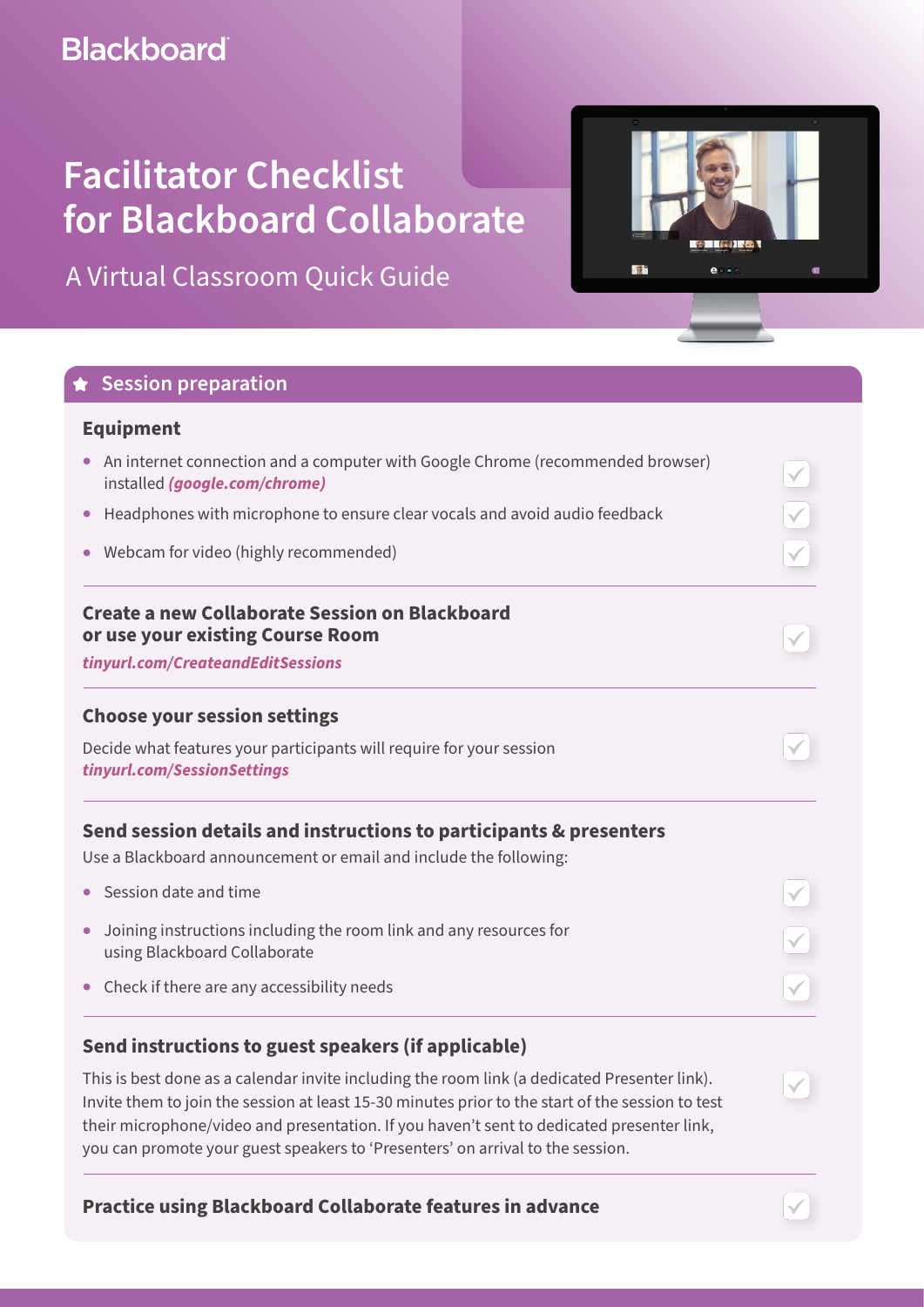# **Blackboard**

# **Facilitator Checklist for Blackboard Collaborate**

A Virtual Classroom Quick Guide



| <b>Equipment</b>                                                                                                                                                                                                        |  |                                         |
|-------------------------------------------------------------------------------------------------------------------------------------------------------------------------------------------------------------------------|--|-----------------------------------------|
| An internet connection and a computer with Google Chrome (recommended browser)<br>$\bullet$<br>installed (google.com/chrome)<br>Headphones with microphone to ensure clear vocals and avoid audio feedback<br>$\bullet$ |  |                                         |
|                                                                                                                                                                                                                         |  | • Webcam for video (highly recommended) |
| Create a new Collaborate Session on Blackboard<br>or use your existing Course Room                                                                                                                                      |  |                                         |
| tinyurl.com/CreateandEditSessions                                                                                                                                                                                       |  |                                         |
| <b>Choose your session settings</b>                                                                                                                                                                                     |  |                                         |
| Decide what features your participants will require for your session<br>tinyurl.com/SessionSettings                                                                                                                     |  |                                         |
| Send session details and instructions to participants & presenters<br>Use a Blackboard announcement or email and include the following:                                                                                 |  |                                         |
| • Session date and time                                                                                                                                                                                                 |  |                                         |
| Joining instructions including the room link and any resources for<br>$\bullet$<br>using Blackboard Collaborate                                                                                                         |  |                                         |
| Check if there are any accessibility needs<br>$\bullet$                                                                                                                                                                 |  |                                         |
| Send instructions to guest speakers (if applicable)                                                                                                                                                                     |  |                                         |
| This is best done as a calendar invite including the room link (a dedicated Presenter link).<br>Invite them to join the session at least 15-30 minutes prior to the start of the session to test                        |  |                                         |

their microphone/video and presentation. If you haven't sent to dedicated presenter link, you can promote your guest speakers to 'Presenters' on arrival to the session.

**Practice using Blackboard Collaborate features in advance** 

**LES IREA** 

 $\mathbf{e}$ 

图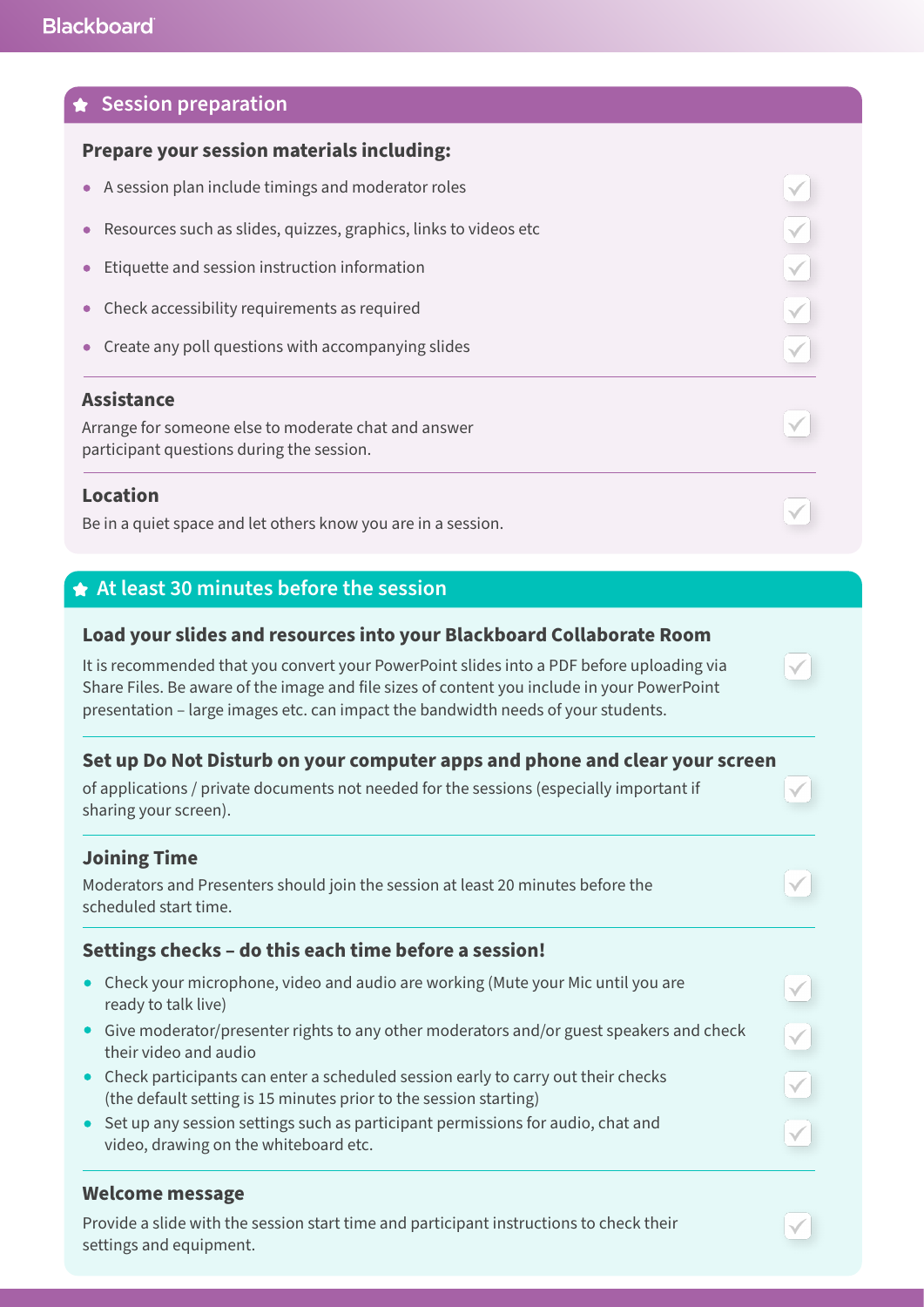#### **Session preparation**

#### **Prepare your session materials including:**

- A session plan include timings and moderator roles
- Resources such as slides, quizzes, graphics, links to videos etc
- Etiquette and session instruction information  $\bullet$
- Check accessibility requirements as required
- Create any poll questions with accompanying slides

#### **Assistance**

Arrange for someone else to moderate chat and answer participant questions during the session.

#### **Location**

Be in a quiet space and let others know you are in a session.

#### **At least 30 minutes before the session**

#### **Load your slides and resources into your Blackboard Collaborate Room**

It is recommended that you convert your PowerPoint slides into a PDF before uploading via Share Files. Be aware of the image and file sizes of content you include in your PowerPoint presentation – large images etc. can impact the bandwidth needs of your students.

#### **Set up Do Not Disturb on your computer apps and phone and clear your screen**

of applications / private documents not needed for the sessions (especially important if sharing your screen).

#### **Joining Time**

Moderators and Presenters should join the session at least 20 minutes before the scheduled start time.

#### **Settings checks – do this each time before a session!**

- Check your microphone, video and audio are working (Mute your Mic until you are ready to talk live)
- Give moderator/presenter rights to any other moderators and/or guest speakers and check their video and audio
- Check participants can enter a scheduled session early to carry out their checks (the default setting is 15 minutes prior to the session starting)
- Set up any session settings such as participant permissions for audio, chat and video, drawing on the whiteboard etc.

#### **Welcome message**

Provide a slide with the session start time and participant instructions to check their settings and equipment.